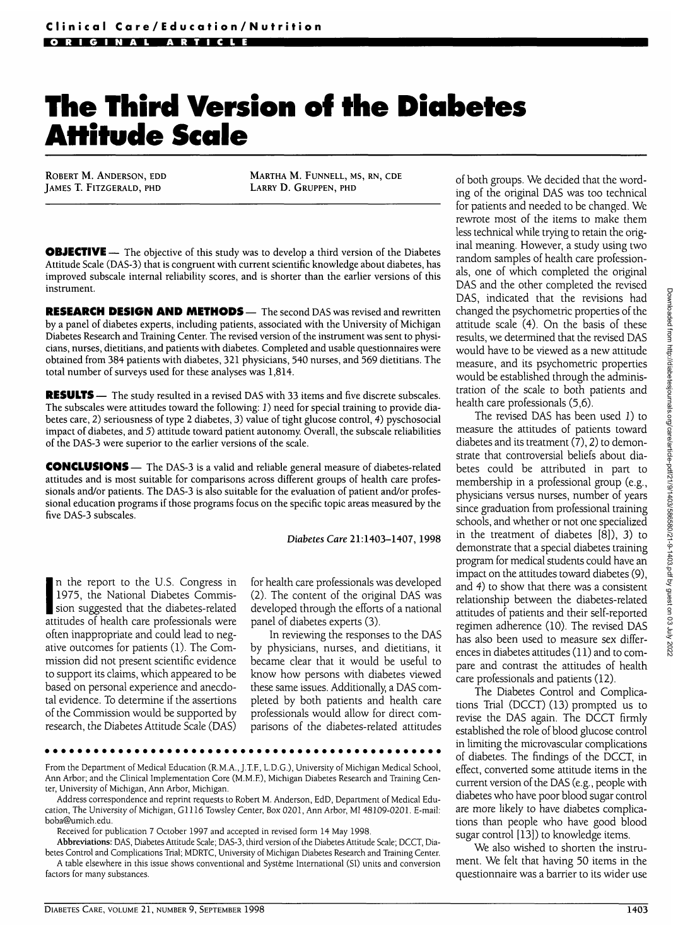# **The Third Version of the Diabetes Attitude Scale**

ROBERT M. ANDERSON, EDD JAMES T. FITZGERALD, PHD

MARTHA M. FUNNELL, MS, RN, CDE LARRY D. GRUPPEN, PHD

**OBJECTIVE** - The objective of this study was to develop a third version of the Diabetes Attitude Scale (DAS-3) that is congruent with current scientific knowledge about diabetes, has improved subscale internal reliability scores, and is shorter than the earlier versions of this instrument.

**RESEARCH DESIGN AND METHODS—** The second DAS was revised and rewritten by a panel of diabetes experts, including patients, associated with the University of Michigan Diabetes Research and Training Center. The revised version of the instrument was sent to physicians, nurses, dietitians, and patients with diabetes. Completed and usable questionnaires were obtained from 384 patients with diabetes, 321 physicians, 540 nurses, and 569 dietitians. The total number of surveys used for these analyses was 1,814.

**RESULTS** — The study resulted in a revised DAS with 33 items and five discrete subscales. The subscales were attitudes toward the following: 1) need for special training to provide diabetes care, 2) seriousness of type 2 diabetes, 3) value of tight glucose control, 4) pyschosocial impact of diabetes, and 5) attitude toward patient autonomy. Overall, the subscale reliabilities of the DAS-3 were superior to the earlier versions of the scale.

**CONCLUSIONS** — The DAS-3 is a valid and reliable general measure of diabetes-related attitudes and is most suitable for comparisons across different groups of health care professionals and/or patients. The DAS-3 is also suitable for the evaluation of patient and/or professional education programs if those programs focus on the specific topic areas measured by the five DAS-3 subscales.

*Diabetes Care* 21:1403-1407, 1998

I<sup>1</sup>/<sub>2</sub>, the Tyanonar Diabetes-commis-<br>sion suggested that the diabetes-related n the report to the U.S. Congress in 1975, the National Diabetes Commisattitudes of health care professionals were often inappropriate and could lead to negative outcomes for patients (1). The Commission did not present scientific evidence to support its claims, which appeared to be based on personal experience and anecdotal evidence. To determine if the assertions of the Commission would be supported by research, the Diabetes Attitude Scale (DAS)

for health care professionals was developed (2). The content of the original DAS was developed through the efforts of a national panel of diabetes experts (3).

In reviewing the responses to the DAS by physicians, nurses, and dietitians, it became clear that it would be useful to know how persons with diabetes viewed these same issues. Additionally, a DAS completed by both patients and health care professionals would allow for direct comparisons of the diabetes-related attitudes

From the Department of Medical Education (R.M.A., J.T.E, L.D.G.), University of Michigan Medical School, Ann Arbor; and the Clinical Implementation Core (M.M.E), Michigan Diabetes Research and Training Center, University of Michigan, Ann Arbor, Michigan.

Address correspondence and reprint requests to Robert M. Anderson, EdD, Department of Medical Education, The University of Michigan, G1116 Towsley Center, Box 0201, Ann Arbor, MI 48109-0201. E-mail: boba@umich. edu.

Received for publication 7 October 1997 and accepted in revised form 14 May 1998.

**Abbreviations:** DAS, Diabetes Attitude Scale; DAS-3, third version of the Diabetes Attitude Scale; DCCT, Diabetes Control and Complications Trial; MDRTC, University of Michigan Diabetes Research and Training Center. A table elsewhere in this issue shows conventional and Systeme International (SI) units and conversion

factors for many substances.

of both groups. We decided that the wording of the original DAS was too technical for patients and needed to be changed. We rewrote most of the items to make them less technical while trying to retain the original meaning. However, a study using two random samples of health care professionals, one of which completed the original DAS and the other completed the revised DAS, indicated that the revisions had changed the psychometric properties of the attitude scale (4). On the basis of these results, we determined that the revised DAS would have to be viewed as a new attitude measure, and its psychometric properties would be established through the administration of the scale to both patients and health care professionals (5,6).

The revised DAS has been used 1) to measure the attitudes of patients toward diabetes and its treatment  $(7)$ , 2) to demonstrate that controversial beliefs about diabetes could be attributed in part to membership in a professional group (e.g., physicians versus nurses, number of years since graduation from professional training schools, and whether or not one specialized in the treatment of diabetes [8]), 3) to demonstrate that a special diabetes training program for medical students could have an impact on the attitudes toward diabetes (9), and 4) to show that there was a consistent relationship between the diabetes-related attitudes of patients and their self-reported regimen adherence (10). The revised DAS has also been used to measure sex differences in diabetes attitudes (11) and to compare and contrast the attitudes of health care professionals and patients (12).

The Diabetes Control and Complications Trial (DCCT) (13) prompted us to revise the DAS again. The DCCT firmly established the role of blood glucose control in limiting the microvascular complications of diabetes. The findings of the DCCT, in effect, converted some attitude items in the current version of the DAS (e.g., people with diabetes who have poor blood sugar control are more likely to have diabetes complications than people who have good blood sugar control [13]) to knowledge items.

We also wished to shorten the instrument. We felt that having 50 items in the questionnaire was a barrier to its wider use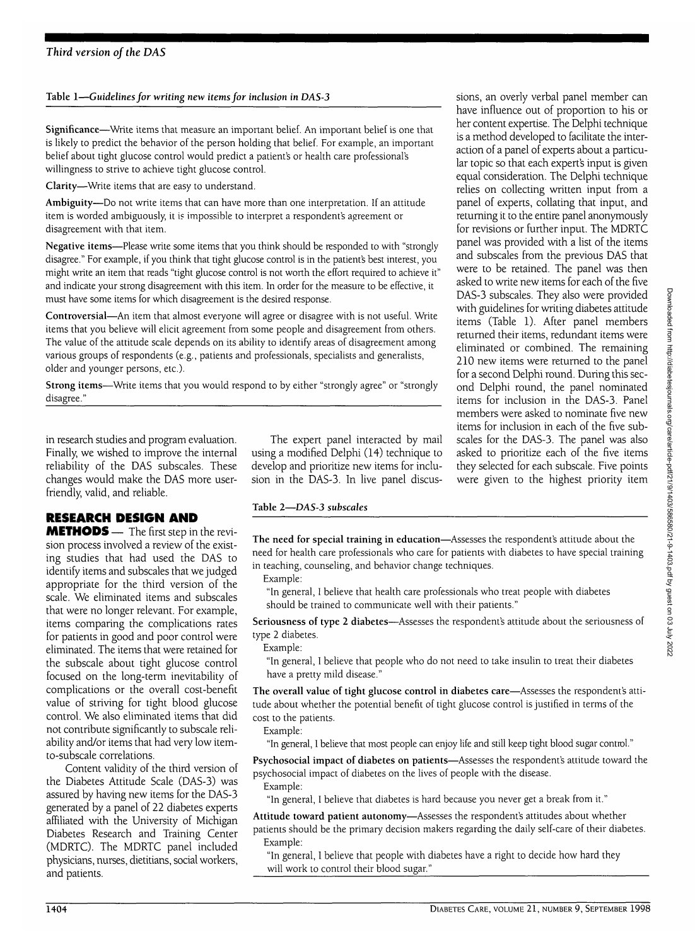#### **Table 1—***Guidelines for writing new items for inclusion in DAS-3*

**Significance**—Write items that measure an important belief. An important belief is one that is likely to predict the behavior of the person holding that belief. For example, an important belief about tight glucose control would predict a patient's or health care professional's willingness to strive to achieve tight glucose control.

**Clarity**—Write items that are easy to understand.

**Ambiguity**—Do not write items that can have more than one interpretation. If an attitude item is worded ambiguously, it is impossible to interpret a respondent's agreement or disagreement with that item.

**Negative items**—Please write some items that you think should be responded to with "strongly disagree." For example, if you think that tight glucose control is in the patient's best interest, you might write an item that reads "tight glucose control is not worth the effort required to achieve it" and indicate your strong disagreement with this item. In order for the measure to be effective, it must have some items for which disagreement is the desired response.

**Controversial**—An item that almost everyone will agree or disagree with is not useful. Write items that you believe will elicit agreement from some people and disagreement from others. The value of the attitude scale depends on its ability to identify areas of disagreement among various groups of respondents (e.g., patients and professionals, specialists and generalists, older and younger persons, etc.).

**Strong items**—Write items that you would respond to by either "strongly agree" or "strongly disagree."

in research studies and program evaluation. Finally, we wished to improve the internal reliability of the DAS subscales. These changes would make the DAS more userfriendly, valid, and reliable.

## **RESEARCH DESIGN AND**

**METHODS** — The first step in the revision process involved a review of the existing studies that had used the DAS to identify items and subscales that we judged appropriate for the third version of the scale. We eliminated items and subscales that were no longer relevant. For example, items comparing the complications rates for patients in good and poor control were eliminated. The items that were retained for the subscale about tight glucose control focused on the long-term inevitability of complications or the overall cost-benefit value of striving for tight blood glucose control. We also eliminated items that did not contribute significantly to subscale reliability and/or items that had very low itemto-subscale correlations.

Content validity of the third version of the Diabetes Attitude Scale (DAS-3) was assured by having new items for the DAS-3 generated by a panel of 22 diabetes experts affiliated with the University of Michigan Diabetes Research and Training Center (MDRTC). The MDRTC panel included physicians, nurses, dietitians, social workers, and patients.

The expert panel interacted by mail using a modified Delphi (14) technique to<br>develop and prioritize new items for inclusion in the DAS-3. In live panel discus- $\frac{1}{2}$ 

## Table 2—*DAS-3 subscales*

**The need for special training in education**—Assesses the respondent's attitude about the need for health care professionals who care for patients with diabetes to have special training in teaching, counseling, and behavior change techniques.

Example:

"In general, I believe that health care professionals who treat people with diabetes should be trained to communicate well with their patients."

**Seriousness of type 2 diabetes**—Assesses the respondent's attitude about the seriousness of type 2 diabetes.

Example:

"In general, I believe that people who do not need to take insulin to treat their diabetes have a pretty mild disease."

**The overall value of tight glucose control in diabetes care**—Assesses the respondent's attitude about whether the potential benefit of tight glucose control is justified in terms of the cost to the patients.

Example:

"In general, I believe that most people can enjoy life and still keep tight blood sugar control."

**Psychosocial impact of diabetes on patients**—Assesses the respondent's attitude toward the psychosocial impact of diabetes on the lives of people with the disease. Example:

"In general, I believe that diabetes is hard because you never get a break from it."

**Attitude toward patient autonomy**—Assesses the respondent's attitudes about whether patients should be the primary decision makers regarding the daily self-care of their diabetes. Example:

"In general, I believe that people with diabetes have a right to decide how hard they will work to control their blood sugar."

have influence out of proportion to his or her content expertise. The Delphi technique is a method developed to facilitate the interaction of a panel of experts about a particular topic so that each expert's input is given equal consideration. The Delphi technique relies on collecting written input from a panel of experts, collating that input, and returning it to the entire panel anonymously for revisions or further input. The MDRTC panel was provided with a list of the items and subscales from the previous DAS that were to be retained. The panel was then asked to write new items for each of the five DAS-3 subscales. They also were provided with guidelines for writing diabetes attitude items (Table 1). After panel members returned their items, redundant items were eliminated or combined. The remaining 210 new items were returned to the panel for a second Delphi round. During this second Delphi round, the panel nominated items for inclusion in the DAS-3. Panel members were asked to nominate five new items for inclusion in each of the five subscales for the DAS-3. The panel was also asked to prioritize each of the five items they selected for each subscale. Five points were given to the highest priority item

sions, an overly verbal panel member can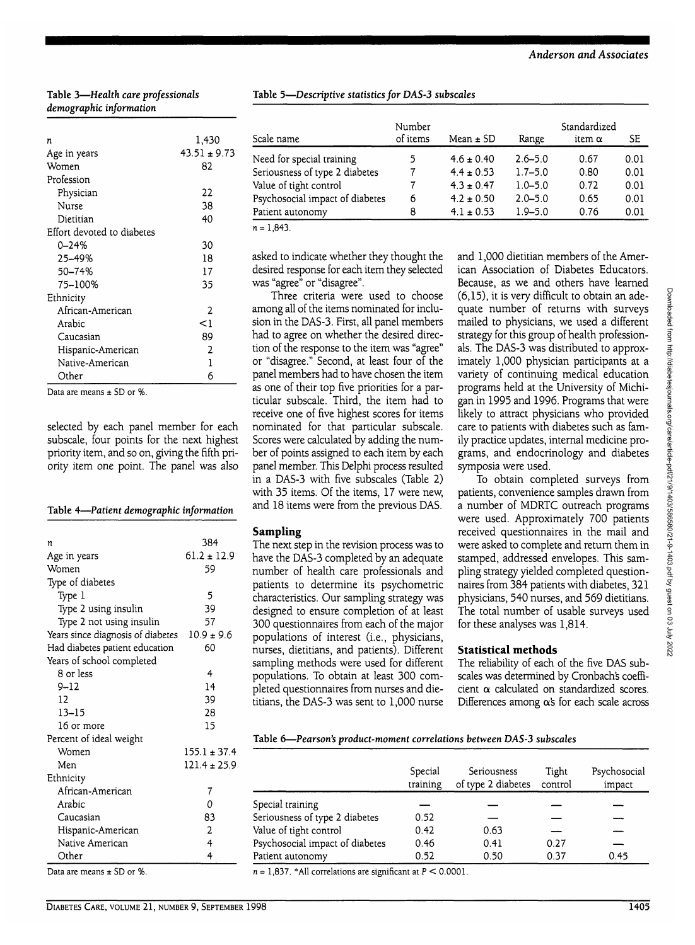#### **Table 3—***Health care professionals demographic information*

| n                          | 1,430            |
|----------------------------|------------------|
| Age in years               | $43.51 \pm 9.73$ |
| Women                      | 82               |
| Profession                 |                  |
| Physician                  | 22               |
| Nurse                      | 38               |
| Dietitian                  | 40               |
| Effort devoted to diabetes |                  |
| 0–24%                      | 30               |
| 25-49%                     | 18               |
| 50-74%                     | 17               |
| 75-100%                    | 35               |
| Ethnicity                  |                  |
| African-American           | 2                |
| Arabic                     | <1               |
| Caucasian                  | 89               |
| Hispanic-American          | 2                |
| Native-American            | 1                |
| Other                      | 6                |
| $\sim$ $\sim$              |                  |

Data are means + SD or %

selected by each panel member for each subscale, four points for the next highest priority item, and so on, giving the fifth priority item one point. The panel was also

## **Table 4—***Patient demographic information*

| n                                 | 384              |
|-----------------------------------|------------------|
| Age in years                      | $61.2 \pm 12.9$  |
| Women                             | 59               |
| Type of diabetes                  |                  |
| Type 1                            | 5                |
| Type 2 using insulin              | 39               |
| Type 2 not using insulin          | 57               |
| Years since diagnosis of diabetes | $10.9 \pm 9.6$   |
| Had diabetes patient education    | 60               |
| Years of school completed         |                  |
| 8 or less                         | 4                |
| 9–12                              | 14               |
| 12                                | 39               |
| $13 - 15$                         | 28               |
| 16 or more                        | 15               |
| Percent of ideal weight           |                  |
| Women                             | $155.1 \pm 37.4$ |
| Men                               | $121.4 \pm 25.9$ |
| Ethnicity                         |                  |
| African-American                  | 7                |
| Arabic                            | 0                |
| Caucasian                         | 83               |
| Hispanic-American                 | 2                |
| Native American                   | 4                |
| Other                             | $\overline{4}$   |
| $CD - U$<br>.                     |                  |

Data are means  $\pm$  SD or %.

| Table 5-Descriptive statistics for DAS-3 subscales |  |  |
|----------------------------------------------------|--|--|
|                                                    |  |  |

| Scale name                      | Number<br>of items | Mean $\pm$ SD  | Range       | Standardized<br>item $\alpha$ | SЕ   |
|---------------------------------|--------------------|----------------|-------------|-------------------------------|------|
| Need for special training       | 5                  | $4.6 \pm 0.40$ | $2.6 - 5.0$ | 0.67                          | 0.01 |
| Seriousness of type 2 diabetes  |                    | $4.4 \pm 0.53$ | $1.7 - 5.0$ | 0.80                          | 0.01 |
| Value of tight control          |                    | $4.3 \pm 0.47$ | $1.0 - 5.0$ | 0.72                          | 0.01 |
| Psychosocial impact of diabetes | 6                  | $4.2 \pm 0.50$ | $2.0 - 5.0$ | 0.65                          | 0.01 |
| Patient autonomy                | 8                  | $4.1 \pm 0.53$ | $1.9 - 5.0$ | 0.76                          | 0.01 |
| $n = 1.843$                     |                    |                |             |                               |      |

asked to indicate whether they thought the desired response for each item they selected was "agree" or "disagree".

Three criteria were used to choose among all of the items nominated for inclusion in the DAS-3. First, all panel members had to agree on whether the desired direction of the response to the item was "agree" or "disagree." Second, at least four of the panel members had to have chosen the item as one of their top five priorities for a particular subscale. Third, the item had to receive one of five highest scores for items nominated for that particular subscale. Scores were calculated by adding the number of points assigned to each item by each panel member. This Delphi process resulted in a DAS-3 with five subscales (Table 2) with 35 items. Of the items, 17 were new, and 18 items were from the previous DAS.

## **Sampling**

The next step in the revision process was to have the DAS-3 completed by an adequate number of health care professionals and patients to determine its psychometric characteristics. Our sampling strategy was designed to ensure completion of at least 300 questionnaires from each of the major populations of interest (i.e., physicians, nurses, dietitians, and patients). Different sampling methods were used for different populations. To obtain at least 300 completed questionnaires from nurses and dietitians, the DAS-3 was sent to 1,000 nurse and 1,000 dietitian members of the American Association of Diabetes Educators. Because, as we and others have learned (6,15), it is very difficult to obtain an adequate number of returns with surveys mailed to physicians, we used a different strategy for this group of health professionals. The DAS-3 was distributed to approximately 1,000 physician participants at a variety of continuing medical education programs held at the University of Michigan in 1995 and 1996. Programs that were likely to attract physicians who provided care to patients with diabetes such as family practice updates, internal medicine programs, and endocrinology and diabetes symposia were used.

To obtain completed surveys from patients, convenience samples drawn from a number of MDRTC outreach programs were used. Approximately 700 patients received questionnaires in the mail and were asked to complete and return them in stamped, addressed envelopes. This sampling strategy yielded completed questionnaires from 384 patients with diabetes, 321 physicians, 540 nurses, and 569 dietitians. The total number of usable surveys used for these analyses was 1,814.

## **Statistical methods**

The reliability of each of the five DAS subscales was determined by Cronbachs coefficient **a** calculated on standardized scores. Differences among  $\alpha$ 's for each scale across

**Table 6—***Pearson's product-moment correlations between DAS-3 subscales*

|                                 | Special<br>training | Seriousness<br>of type 2 diabetes | Tight<br>control | Psychosocial<br>impact |
|---------------------------------|---------------------|-----------------------------------|------------------|------------------------|
| Special training                |                     |                                   |                  |                        |
| Seriousness of type 2 diabetes  | 0.52                |                                   |                  |                        |
| Value of tight control          | 0.42                | 0.63                              |                  |                        |
| Psychosocial impact of diabetes | 0.46                | 0.41                              | 0.27             |                        |
| Patient autonomy                | 0.52                | 0.50                              | 0.37             | 0.45                   |

 $n = 1,837$ . \*All correlations are significant at  $P \le 0.0001$ .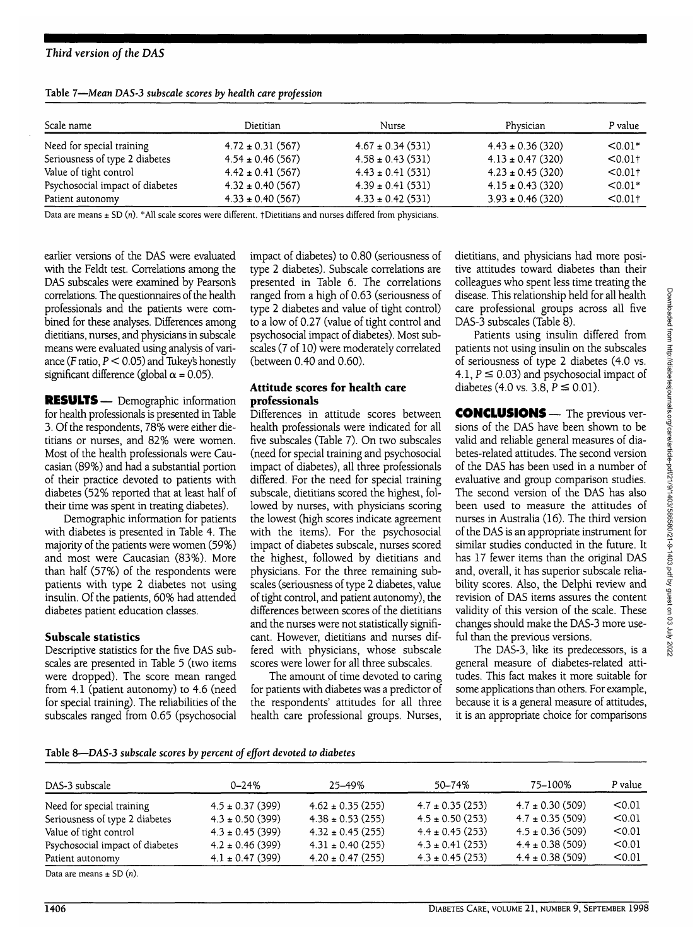## *Third version of the DAS*

| Scale name                      | Dietitian             | Nurse                 | Physician             | P value               |
|---------------------------------|-----------------------|-----------------------|-----------------------|-----------------------|
| Need for special training       | $4.72 \pm 0.31$ (567) | $4.67 \pm 0.34(531)$  | $4.43 \pm 0.36$ (320) | $< 0.01*$             |
| Seriousness of type 2 diabetes  | $4.54 \pm 0.46$ (567) | $4.58 \pm 0.43(531)$  | $4.13 \pm 0.47$ (320) | < 0.011               |
| Value of tight control          | $4.42 \pm 0.41$ (567) | $4.43 \pm 0.41(531)$  | $4.23 \pm 0.45$ (320) | $< 0.01$ <sup>+</sup> |
| Psychosocial impact of diabetes | $4.32 \pm 0.40$ (567) | $4.39 \pm 0.41(531)$  | $4.15 \pm 0.43$ (320) | $< 0.01*$             |
| Patient autonomy                | $4.33 \pm 0.40$ (567) | $4.33 \pm 0.42$ (531) | $3.93 \pm 0.46$ (320) | $< 0.01$ t            |

**Table 7—***Mean DAS-3 subscale scores by health care profession*

Data are means  $\pm$  SD (n). \*All scale scores were different. †Dietitians and nurses differed from physicians.

earlier versions of the DAS were evaluated with the Feldt test. Correlations among the DAS subscales were examined by Pearson's correlations. The questionnaires of the health professionals and the patients were combined for these analyses. Differences among dietitians, nurses, and physicians in subscale means were evaluated using analysis of variance (F ratio,  $P < 0.05$ ) and Tukey's honestly significant difference (global  $\alpha$  = 0.05).

**RESULTS**— Demographic information for health professionals is presented in Table 3. Of the respondents, 78% were either dietitians or nurses, and 82% were women. Most of the health professionals were Caucasian (89%) and had a substantial portion of their practice devoted to patients with diabetes (52% reported that at least half of their time was spent in treating diabetes).

Demographic information for patients with diabetes is presented in Table 4. The majority of the patients were women (59%) and most were Caucasian (83%). More than half (57%) of the respondents were patients with type 2 diabetes not using insulin. Of the patients, 60% had attended diabetes patient education classes.

#### **Subscale statistics**

Descriptive statistics for the five DAS subscales are presented in Table 5 (two items were dropped). The score mean ranged from 4.1 (patient autonomy) to 4.6 (need for special training). The reliabilities of the subscales ranged from 0.65 (psychosocial impact of diabetes) to 0.80 (seriousness of type 2 diabetes). Subscale correlations are presented in Table 6. The correlations ranged from a high of 0.63 (seriousness of type 2 diabetes and value of tight control) to a low of 0.27 (value of tight control and psychosocial impact of diabetes). Most subscales (7 of 10) were moderately correlated (between 0.40 and 0.60).

#### **Attitude scores for health care professionals**

Differences in attitude scores between health professionals were indicated for all five subscales (Table 7). On two subscales (need for special training and psychosocial impact of diabetes), all three professionals differed. For the need for special training subscale, dietitians scored the highest, followed by nurses, with physicians scoring the lowest (high scores indicate agreement with the items). For the psychosocial impact of diabetes subscale, nurses scored the highest, followed by dietitians and physicians. For the three remaining subscales (seriousness of type 2 diabetes, value of tight control, and patient autonomy), the differences between scores of the dietitians and the nurses were not statistically significant. However, dietitians and nurses differed with physicians, whose subscale scores were lower for all three subscales.

The amount of time devoted to caring for patients with diabetes was a predictor of the respondents' attitudes for all three health care professional groups. Nurses,

dietitians, and physicians had more positive attitudes toward diabetes than their colleagues who spent less time treating the disease. This relationship held for all health care professional groups across all five DAS-3 subscales (Table 8).

Patients using insulin differed from patients not using insulin on the subscales of seriousness of type 2 diabetes (4.0 vs. 4.1,  $P \le 0.03$ ) and psychosocial impact of diabetes (4.0 vs. 3.8,  $P \le 0.01$ ).

**CONCLUSIONS** — The previous versions of the DAS have been shown to be valid and reliable general measures of diabetes-related attitudes. The second version of the DAS has been used in a number of evaluative and group comparison studies. The second version of the DAS has also been used to measure the attitudes of nurses in Australia (16). The third version of the DAS is an appropriate instrument for similar studies conducted in the future. It has 17 fewer items than the original DAS and, overall, it has superior subscale reliability scores. Also, the Delphi review and revision of DAS items assures the content validity of this version of the scale. These changes should make the DAS-3 more useful than the previous versions.

The DAS-3, like its predecessors, is a general measure of diabetes-related attitudes. This fact makes it more suitable for some applications than others. For example, because it is a general measure of attitudes, it is an appropriate choice for comparisons

| DAS-3 subscale                  | $0 - 24%$            | 25-49%                | 50–74%               | 75–100%             | P value |
|---------------------------------|----------------------|-----------------------|----------------------|---------------------|---------|
| Need for special training       | $4.5 \pm 0.37$ (399) | $4.62 \pm 0.35(255)$  | $4.7 \pm 0.35$ (253) | $4.7 \pm 0.30(509)$ | < 0.01  |
| Seriousness of type 2 diabetes  | $4.3 \pm 0.50$ (399) | $4.38 \pm 0.53$ (255) | $4.5 \pm 0.50$ (253) | $4.7 \pm 0.35(509)$ | < 0.01  |
| Value of tight control          | $4.3 \pm 0.45$ (399) | $4.32 \pm 0.45$ (255) | $4.4 \pm 0.45(253)$  | $4.5 \pm 0.36(509)$ | < 0.01  |
| Psychosocial impact of diabetes | $4.2 \pm 0.46$ (399) | $4.31 \pm 0.40$ (255) | $4.3 \pm 0.41$ (253) | $4.4 \pm 0.38(509)$ | < 0.01  |
| Patient autonomy                | $4.1 \pm 0.47$ (399) | $4.20 \pm 0.47$ (255) | $4.3 \pm 0.45$ (253) | $4.4 \pm 0.38(509)$ | < 0.01  |
| $\mathbb{R}$ and $\mathbb{R}$   |                      |                       |                      |                     |         |

Data are means  $\pm$  SD  $(n)$ .